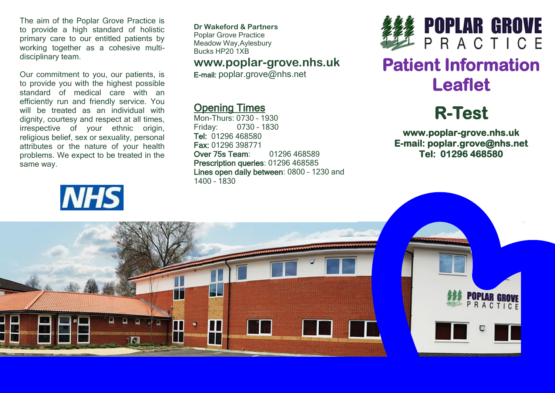The aim of the Poplar Grove Practice is to provide a high standard of holistic primary care to our entitled patients by working together as a cohesive multidisciplinary team.

Our commitment to you, our patients, is to provide you with the highest possible standard of medical care with an efficiently run and friendly service. You will be treated as an individual with dignity, courtesy and respect at all times, irrespective of your ethnic origin, religious belief, sex or sexuality, personal attributes or the nature of your health problems. We expect to be treated in the same way.



**Dr Wakeford & Partners** Poplar Grove Practice Meadow Way,Aylesbury Bucks HP20 1XB

#### **www.poplar-grove.nhs.uk**

E-mail: [poplar.grove@nhs.net](mailto:poplar.grove@nhs.net)

### Opening Times

Mon-Thurs: 0730 – 1930 Friday: 0730 – 1830 Tel: 01296 468580 Fax: 01296 398771 Over 75s Team: 01296 468589 Prescription queries: 01296 468585 Lines open daily between: 0800 – 1230 and 1400 – 1830



# **Patient Information Leaflet**

# **R-Test**

**www.poplar-grove.nhs.uk E-mail: poplar.grove@nhs.net Tel: 01296 468580**